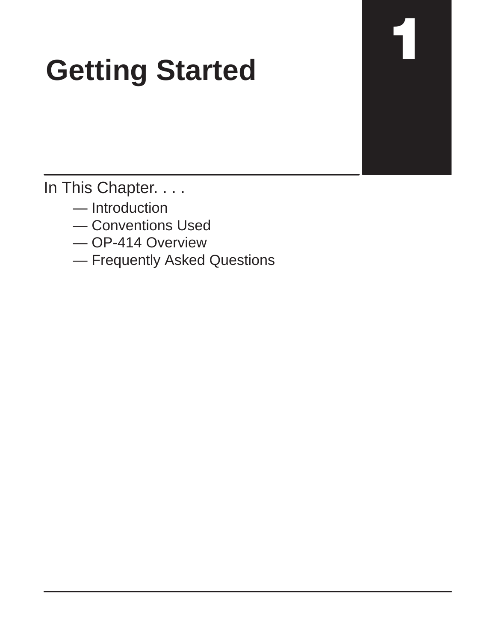# **Getting Started**

ä

In This Chapter. . . .

- Introduction
- Conventions Used
- OP-414 Overview
- Frequently Asked Questions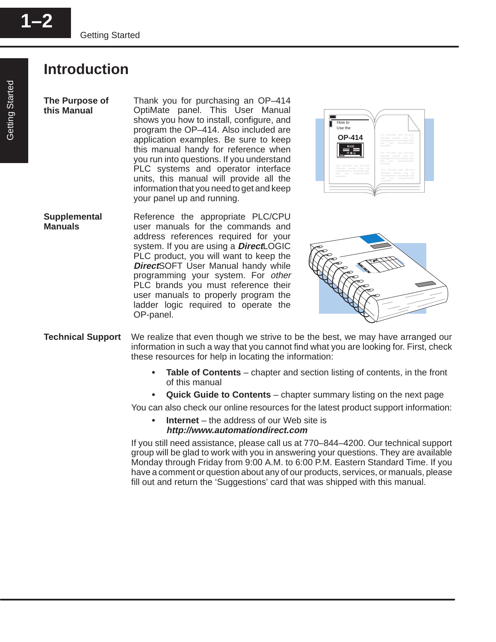### **Introduction**

**The Purpose of this Manual**

Thank you for purchasing an OP–414 OptiMate panel. This User Manual shows you how to install, configure, and program the OP–414. Also included are application examples. Be sure to keep this manual handy for reference when you run into questions. If you understand PLC systems and operator interface units, this manual will provide all the information that you need to get and keep your panel up and running.







- We realize that even though we strive to be the best, we may have arranged our information in such a way that you cannot find what you are looking for. First, check these resources for help in locating the information: **Technical Support**
	- **Table of Contents** chapter and section listing of contents, in the front of this manual
	- **Quick Guide to Contents** chapter summary listing on the next page

You can also check our online resources for the latest product support information:

 **Internet** – the address of our Web site is **http://www.automationdirect.com**

If you still need assistance, please call us at 770–844–4200. Our technical support group will be glad to work with you in answering your questions. They are available Monday through Friday from 9:00 A.M. to 6:00 P.M. Eastern Standard Time. If you have a comment or question about any of our products, services, or manuals, please fill out and return the 'Suggestions' card that was shipped with this manual.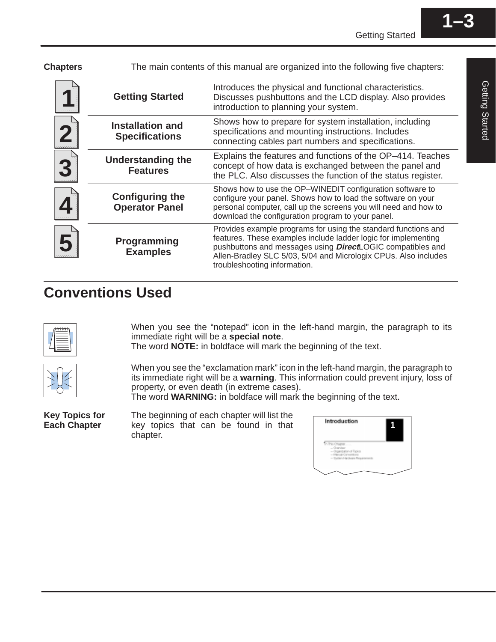| <b>Chapters</b> |                                                  | The main contents of this manual are organized into the following five chapters:                                                                                                                                                                                                                          |  |
|-----------------|--------------------------------------------------|-----------------------------------------------------------------------------------------------------------------------------------------------------------------------------------------------------------------------------------------------------------------------------------------------------------|--|
|                 | <b>Getting Started</b>                           | Introduces the physical and functional characteristics.<br>Discusses pushbuttons and the LCD display. Also provides<br>introduction to planning your system.                                                                                                                                              |  |
| 2               | <b>Installation and</b><br><b>Specifications</b> | Shows how to prepare for system installation, including<br>specifications and mounting instructions. Includes<br>connecting cables part numbers and specifications.                                                                                                                                       |  |
| 3               | <b>Understanding the</b><br><b>Features</b>      | Explains the features and functions of the OP-414. Teaches<br>concept of how data is exchanged between the panel and<br>the PLC. Also discusses the function of the status register.                                                                                                                      |  |
|                 | <b>Configuring the</b><br><b>Operator Panel</b>  | Shows how to use the OP-WINEDIT configuration software to<br>configure your panel. Shows how to load the software on your<br>personal computer, call up the screens you will need and how to<br>download the configuration program to your panel.                                                         |  |
|                 | Programming<br><b>Examples</b>                   | Provides example programs for using the standard functions and<br>features. These examples include ladder logic for implementing<br>pushbuttons and messages using <b>Direct</b> LOGIC compatibles and<br>Allen-Bradley SLC 5/03, 5/04 and Micrologix CPUs. Also includes<br>troubleshooting information. |  |

## **Conventions Used**



When you see the "notepad" icon in the left-hand margin, the paragraph to its immediate right will be a **special note**.

The word **NOTE:** in boldface will mark the beginning of the text.



When you see the "exclamation mark" icon in the left-hand margin, the paragraph to its immediate right will be a **warning**. This information could prevent injury, loss of property, or even death (in extreme cases).

The word **WARNING:** in boldface will mark the beginning of the text.

**Key Topics for Each Chapter**

The beginning of each chapter will list the key topics that can be found in that chapter.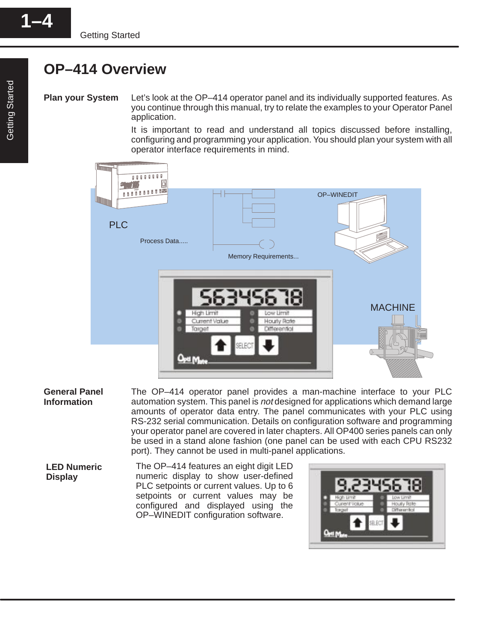## **OP–414 Overview**

Let's look at the OP–414 operator panel and its individually supported features. As you continue through this manual, try to relate the examples to your Operator Panel application. **Plan your System**

> It is important to read and understand all topics discussed before installing, configuring and programming your application. You should plan your system with all operator interface requirements in mind.



#### The OP–414 operator panel provides a man-machine interface to your PLC automation system. This panel is not designed for applications which demand large amounts of operator data entry. The panel communicates with your PLC using RS-232 serial communication. Details on configuration software and programming your operator panel are covered in later chapters. All OP400 series panels can only be used in a stand alone fashion (one panel can be used with each CPU RS232 port). They cannot be used in multi-panel applications. **General Panel Information**

The OP–414 features an eight digit LED numeric display to show user-defined PLC setpoints or current values. Up to 6 setpoints or current values may be configured and displayed using the OP–WINEDIT configuration software. **LED Numeric Display** 

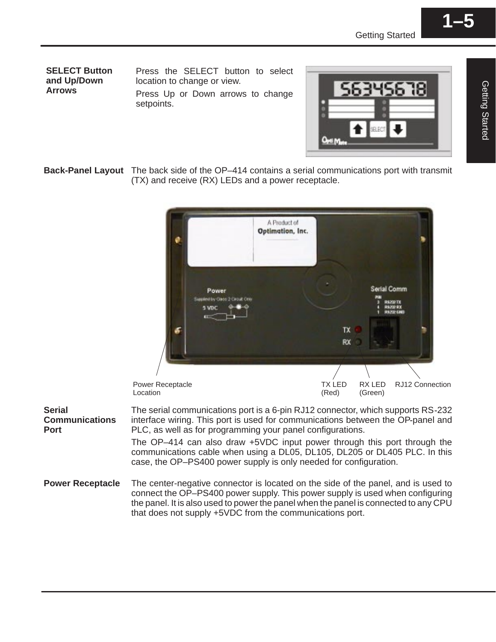**SELECT Button and Up/Down Arrows**

**Serial**

**Port**

Press the SELECT button to select location to change or view.

Press Up or Down arrows to change setpoints.



**Back-Panel Layout** The back side of the OP–414 contains a serial communications port with transmit (TX) and receive (RX) LEDs and a power receptacle.



The center-negative connector is located on the side of the panel, and is used to connect the OP–PS400 power supply. This power supply is used when configuring the panel. It is also used to power the panel when the panel is connected to any CPU that does not supply +5VDC from the communications port. **Power Receptacle**